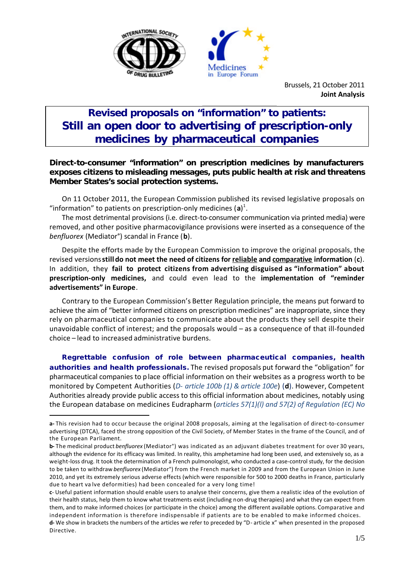



Brussels, 21 October 2011 **Joint Analysis**

## **Revised proposals on "information" to patients: Still an open door to advertising of prescription-only medicines by pharmaceutical companies**

## *Direct-to-consumer "information" on prescription medicines by manufacturers exposes citizens to misleading messages, puts public health at risk and threatens Member States's social protection systems.*

On 11 October 2011, the European Commission published its revised legislative proposals on "information" to patients on prescription-only medicines (a)<sup>1</sup>.

The most detrimental provisions (i.e. direct-to-consumer communication via printed media) were removed, and other positive pharmacovigilance provisions were inserted as a consequence of the *benfluorex* (Mediator°) scandal in France (**b**).

Despite the efforts made by the European Commission to improve the original proposals, the revised versions **still do not meet the need of citizens for reliable and comparative information** (**c**). In addition, they **fail to protect citizens from advertising disguised as "information" about prescription-only medicines,** and could even lead to the **implementation of "reminder advertisements" in Europe**.

Contrary to the European Commission's Better Regulation principle, the means put forward to achieve the aim of "better informed citizens on prescription medicines" are inappropriate, since they rely on pharmaceutical companies to communicate about the products they sell despite their unavoidable conflict of interest; and the proposals would – as a consequence of that ill-founded choice – lead to increased administrative burdens.

**Regrettable confusion of role between pharmaceutical companies, health authorities and health professionals.** The revised proposals put forward the "obligation" for pharmaceutical companies to place official information on their websites as a progress worth to be monitored by Competent Authorities (*D- article 100b (1) & article 100e*) (**d**). However, Competent Authorities already provide public access to this official information about medicines, notably using the European database on medicines Eudrapharm (*articles 57(1)(l) and 57(2) of Regulation (EC) No* 

l

**a-** This revision had to occur because the original 2008 proposals, aiming at the legalisation of direct-to-consumer advertising (DTCA), faced the strong opposition of the Civil Society, of Member States in the frame of the Council, and of the European Parliament.

**b-** The medicinal product *benfluorex* (Mediator°) was indicated as an adjuvant diabetes treatment for over 30 years, although the evidence for its efficacy was limited. In reality, this amphetamine had long been used, and extensively so, as a weight-loss drug. It took the determination of a French pulmonologist, who conducted a case-control study, for the decision to be taken to withdraw *benfluorex* (Mediator°) from the French market in 2009 and from the European Union in June 2010, and yet its extremely serious adverse effects (which were responsible for 500 to 2000 deaths in France, particularly due to heart va lve deformities) had been concealed for a very long time!

**c**- Useful patient information should enable users to analyse their concerns, give them a realistic idea of the evolution of their health status, help them to know what treatments exist (including non-drug therapies) and what they can expect from them, and to make informed choices (or participate in the choice) among the different available options. Comparative and independent information is therefore indispensable if patients are to be enabled to make informed choices. **d-** We show in brackets the numbers of the articles we refer to preceded by "D- article x" when presented in the proposed Directive.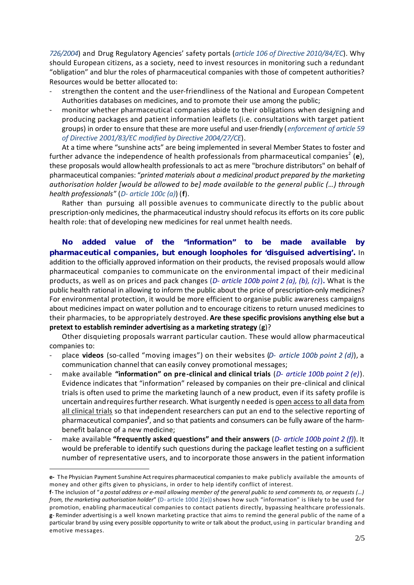*726/2004*) and Drug Regulatory Agencies' safety portals (*article 106 of Directive 2010/84/EC*). Why should European citizens, as a society, need to invest resources in monitoring such a redundant "obligation" and blur the roles of pharmaceutical companies with those of competent authorities? Resources would be better allocated to:

- strengthen the content and the user-friendliness of the National and European Competent Authorities databases on medicines, and to promote their use among the public;
- monitor whether pharmaceutical companies abide to their obligations when designing and producing packages and patient information leaflets (i.e. consultations with target patient groups) in order to ensure that these are more useful and user-friendly (*enforcement of article 59 of Directive 2001/83/EC modified by Directive 2004/27/CE*).

At a time where "sunshine acts" are being implemented in several Member States to foster and further advance the independence of health professionals from pharmaceutical companies<sup>2</sup> (e), these proposals would allow health professionals to act as mere "brochure distributors" on behalf of pharmaceutical companies: "*printed materials about a medicinal product prepared by the marketing authorisation holder [would be allowed to be] made available to the general public (…) through health professionals*" (*D- article 100c (a)*) (**f**).

Rather than pursuing all possible avenues to communicate directly to the public about prescription-only medicines, the pharmaceutical industry should refocus its efforts on its core public health role: that of developing new medicines for real unmet health needs.

**No added value of the "information" to be made available by pharmaceutical companies, but enough loopholes for 'disguised advertising'.** In addition to the officially approved information on their products, the revised proposals would allow pharmaceutical companies to communicate on the environmental impact of their medicinal products, as well as on prices and pack changes (*D- article 100b point 2 (a), (b), (c)*)**.** What is the public health rational in allowing to inform the public about the price of prescription-only medicines? For environmental protection, it would be more efficient to organise public awareness campaigns about medicines impact on water pollution and to encourage citizens to return unused medicines to their pharmacies, to be appropriately destroyed. **Are these specific provisions anything else but a pretext to establish reminder advertising as a marketing strategy** (**g**)?

Other disquieting proposals warrant particular caution. These would allow pharmaceutical companies to:

- place **videos** (so-called "moving images") on their websites (*D- article 100b point 2 (d)*), a communication channel that can easily convey promotional messages;
- make available **"information" on pre-clinical and clinical trials** (*D- article 100b point 2 (e)*). Evidence indicates that "information" released by companies on their pre-clinical and clinical trials is often used to prime the marketing launch of a new product, even if its safety profile is uncertain and requires further research. What is urgently needed is open access to all data from all clinical trials so that independent researchers can put an end to the selective reporting of pharmaceutical companies<sup>3</sup>, and so that patients and consumers can be fully aware of the harmbenefit balance of a new medicine;
- make available **"frequently asked questions" and their answers** (*D- article 100b point 2 (f)*). It would be preferable to identify such questions during the package leaflet testing on a sufficient number of representative users, and to incorporate those answers in the patient information

l

**e-** The Physician Payment Sunshine Actrequires pharmaceutical companiesto make publicly available the amounts of money and other gifts given to physicians, in order to help identify conflict of interest.

**f**- The inclusion of "*a postal address or e-mail allowing member of the general public to send comments to, or requests (…) from, the marketing authorisation holder*" (D- article 100d 2(e)) shows how such "information" is likely to be used for promotion, enabling pharmaceutical companies to contact patients directly, bypassing healthcare professionals. **g**- Reminder advertising is a well known marketing practice that aims to remind the general public of the name of a particular brand by using every possible opportunity to write or talk about the product, using in particular branding and emotive messages.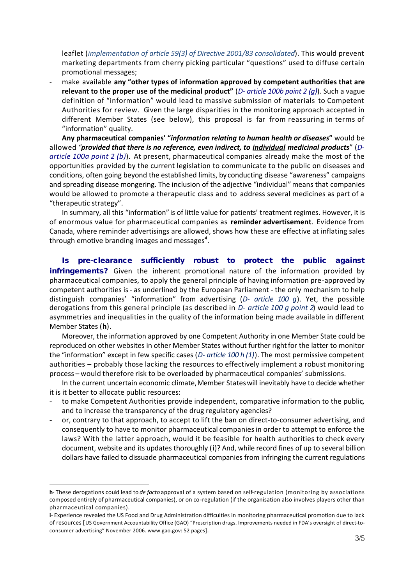leaflet (*implementation of article 59(3) of Directive 2001/83 consolidated*). This would prevent marketing departments from cherry picking particular "questions" used to diffuse certain promotional messages;

- make available **any "other types of information approved by competent authorities that are relevant to the proper use of the medicinal product"** (*D- article 100b point 2 (g)*). Such a vague definition of "information" would lead to massive submission of materials to Competent Authorities for review. Given the large disparities in the monitoring approach accepted in different Member States (see below), this proposal is far from reassuring in terms of "information" quality.

**Any pharmaceutical companies' "***information relating to human health or diseases***"** would be allowed "*provided that there is no reference, even indirect, to individual medicinal products*" (*Darticle 100a point 2 (b)*). At present, pharmaceutical companies already make the most of the opportunities provided by the current legislation to communicate to the public on diseases and conditions, often going beyond the established limits, by conducting disease "awareness" campaigns and spreading disease mongering. The inclusion of the adjective "individual"means that companies would be allowed to promote a therapeutic class and to address several medicines as part of a "therapeutic strategy".

In summary, all this "information" is of little value for patients' treatment regimes. However, it is of enormous value for pharmaceutical companies as **reminder advertisement**. Evidence from Canada, where reminder advertisings are allowed, shows how these are effective at inflating sales through emotive branding images and messages*<sup>4</sup>* .

**Is pre-clearance sufficiently robust to protect the public against infringements?** Given the inherent promotional nature of the information provided by pharmaceutical companies, to apply the general principle of having information pre-approved by competent authorities is - as underlined by the European Parliament - the only mechanism to help distinguish companies' "information" from advertising (*D- article 100 g*). Yet, the possible derogations from this general principle (as described in *D- article 100 g point 2*) would lead to asymmetries and inequalities in the quality of the information being made available in different Member States (**h**).

Moreover, the information approved by one Competent Authority in one Member State could be reproduced on other websites in other Member States without further right for the latter to monitor the "information" except in few specific cases (*D- article 100 h (1)*). The most permissive competent authorities – probably those lacking the resources to effectively implement a robust monitoring process – would therefore risk to be overloaded by pharmaceutical companies' submissions.

In the current uncertain economic climate, Member States will inevitably have to decide whether it is it better to allocate public resources:

- to make Competent Authorities provide independent, comparative information to the public, and to increase the transparency of the drug regulatory agencies?
- or, contrary to that approach, to accept to lift the ban on direct-to-consumer advertising, and consequently to have to monitor pharmaceutical companies in order to attempt to enforce the laws? With the latter approach, would it be feasible for health authorities to check every document, website and its updates thoroughly (**i**)? And, while record fines of up to several billion dollars have failed to dissuade pharmaceutical companies from infringing the current regulations

l

**h**- These derogations could lead to *de facto* approval of a system based on self-regulation (monitoring by associations composed entirely of pharmaceutical companies), or on co-regulation (if the organisation also involves players other than pharmaceutical companies).

**i**- Experience revealed the US Food and Drug Administration difficulties in monitoring pharmaceutical promotion due to lack of resources [US Government Accountability Office (GAO) "Prescription drugs. Improvements needed in FDA's oversight of direct-toconsumer advertising" November 2006. www.gao.gov: 52 pages].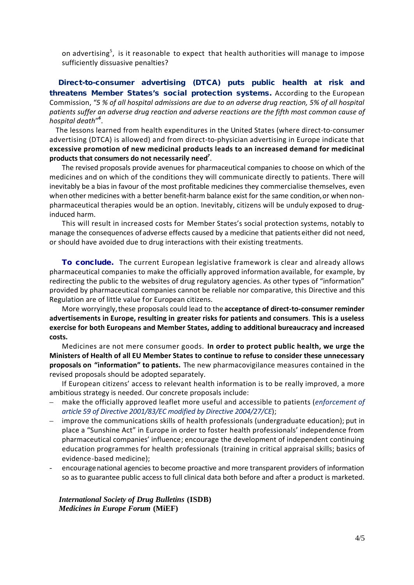on advertising<sup>5</sup>, is it reasonable to expect that health authorities will manage to impose sufficiently dissuasive penalties?

**Direct-to-consumer advertising (DTCA) puts public health at risk and threatens Member States's social protection systems.** According to the European Commission, "*5 % of all hospital admissions are due to an adverse drug reaction, 5% of all hospital patients suffer an adverse drug reaction and adverse reactions are the fifth most common cause of hospital death*" *6* .

The lessons learned from health expenditures in the United States (where direct-to-consumer advertising (DTCA) is allowed) and from direct-to-physician advertising in Europe indicate that **excessive promotion of new medicinal products leads to an increased demand for medicinal products that consumers do not necessarily need***<sup>7</sup>* .

The revised proposals provide avenues for pharmaceutical companies to choose on which of the medicines and on which of the conditions they will communicate directly to patients. There will inevitably be a bias in favour of the most profitable medicines they commercialise themselves, even when other medicines with a better benefit-harm balance exist for the same condition, or when nonpharmaceutical therapies would be an option. Inevitably, citizens will be unduly exposed to druginduced harm.

This will result in increased costs for Member States's social protection systems, notably to manage the consequences of adverse effects caused by a medicine that patients either did not need, or should have avoided due to drug interactions with their existing treatments.

**To conclude.** The current European legislative framework is clear and already allows pharmaceutical companies to make the officially approved information available, for example, by redirecting the public to the websites of drug regulatory agencies. As other types of "information" provided by pharmaceutical companies cannot be reliable nor comparative, this Directive and this Regulation are of little value for European citizens.

More worryingly, these proposals could lead to the **acceptance of direct-to-consumer reminder advertisements in Europe, resulting in greater risks for patients and consumers**. **This is a useless exercise for both Europeans and Member States, adding to additional bureaucracy and increased costs.**

Medicines are not mere consumer goods. **In order to protect public health, we urge the Ministers of Health of all EU Member States to continue to refuse to consider these unnecessary proposals on "information" to patients.** The new pharmacovigilance measures contained in the revised proposals should be adopted separately.

If European citizens' access to relevant health information is to be really improved, a more ambitious strategy is needed. Our concrete proposals include:

- make the officially approved leaflet more useful and accessible to patients (*enforcement of article 59 of Directive 2001/83/EC modified by Directive 2004/27/CE*);
- improve the communications skills of health professionals (undergraduate education); put in place a "Sunshine Act" in Europe in order to foster health professionals' independence from pharmaceutical companies' influence; encourage the development of independent continuing education programmes for health professionals (training in critical appraisal skills; basics of evidence-based medicine);
- encourage national agencies to become proactive and more transparent providers of information so as to guarantee public access to full clinical data both before and after a product is marketed.

*International Society of Drug Bulletins* **(ISDB)** *Medicines in Europe Forum* **(MiEF)**